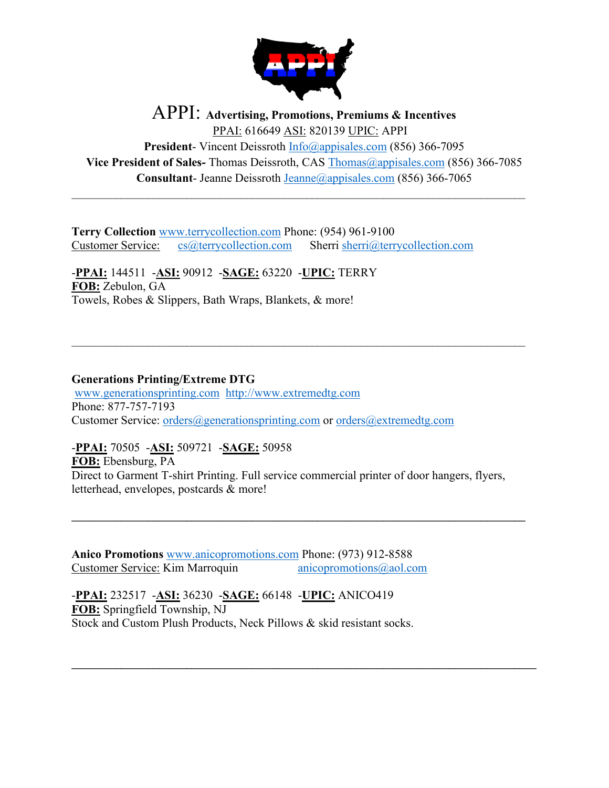

## APPI: **Advertising, Promotions, Premiums & Incentives** PPAI: 616649 ASI: 820139 UPIC: APPI

**President**- Vincent Deissroth [Info@appisales.com](mailto:Info@appisales.com) (856) 366-7095 **Vice President of Sales-** Thomas Deissroth, CAS [Thomas@appisales.com](mailto:Thomas@appisales.com) (856) 366-7085 **Consultant**- Jeanne Deissroth [Jeanne@appisales.com](mailto:Jeanne@appisales.com) (856) 366-7065

\_\_\_\_\_\_\_\_\_\_\_\_\_\_\_\_\_\_\_\_\_\_\_\_\_\_\_\_\_\_\_\_\_\_\_\_\_\_\_\_\_\_\_\_\_\_\_\_\_\_\_\_\_\_\_\_\_\_\_\_\_\_\_\_\_\_\_\_\_\_\_\_\_\_\_\_\_\_\_\_\_\_\_

 $\mathcal{L}_\text{max}$  , and the contribution of the contribution of the contribution of the contribution of the contribution of the contribution of the contribution of the contribution of the contribution of the contribution of t

**Terry Collection** [www.terrycollection.com](http://www.terrycollection.com/) Phone: (954) 961-9100 Customer Service: [cs@terrycollection.com](mailto:cs@terrycollection.com) Sherri [sherri@terrycollection.com](mailto:sherri@terrycollection.com)

-**PPAI:** 144511 -**ASI:** 90912 -**SAGE:** 63220 -**UPIC:** TERRY **FOB:** Zebulon, GA Towels, Robes & Slippers, Bath Wraps, Blankets, & more!

## **Generations Printing/Extreme DTG**

[www.generationsprinting.com](http://www.generationsprinting.com/) [http://www.extremedtg.com](http://www.extremedtg.com/) Phone: 877-757-7193 Customer Service: [orders@generationsprinting.com](mailto:orders@generationsprinting.com) or [orders@extremedtg.com](mailto:orders@extremedtg.com)

-**PPAI:** 70505 -**ASI:** 509721 -**SAGE:** 50958

**FOB:** Ebensburg, PA Direct to Garment T-shirt Printing. Full service commercial printer of door hangers, flyers, letterhead, envelopes, postcards & more!

**\_\_\_\_\_\_\_\_\_\_\_\_\_\_\_\_\_\_\_\_\_\_\_\_\_\_\_\_\_\_\_\_\_\_\_\_\_\_\_\_\_\_\_\_\_\_\_\_\_\_\_\_\_\_\_\_\_\_\_\_\_\_\_\_\_\_\_\_\_\_\_\_\_\_\_\_\_\_\_\_\_\_\_**

**\_\_\_\_\_\_\_\_\_\_\_\_\_\_\_\_\_\_\_\_\_\_\_\_\_\_\_\_\_\_\_\_\_\_\_\_\_\_\_\_\_\_\_\_\_\_\_\_\_\_\_\_\_\_\_\_\_\_\_\_\_\_\_\_\_\_\_\_\_\_\_\_\_\_\_\_\_\_\_\_\_\_\_\_\_**

**Anico Promotions** [www.anicopromotions.com](http://www.anicopromotions.com/) Phone: (973) 912-8588 Customer Service: Kim Marroquin anicopromotions@aol.com

-**PPAI:** 232517 -**ASI:** 36230 -**SAGE:** 66148 -**UPIC:** ANICO419 **FOB:** Springfield Township, NJ Stock and Custom Plush Products, Neck Pillows & skid resistant socks.